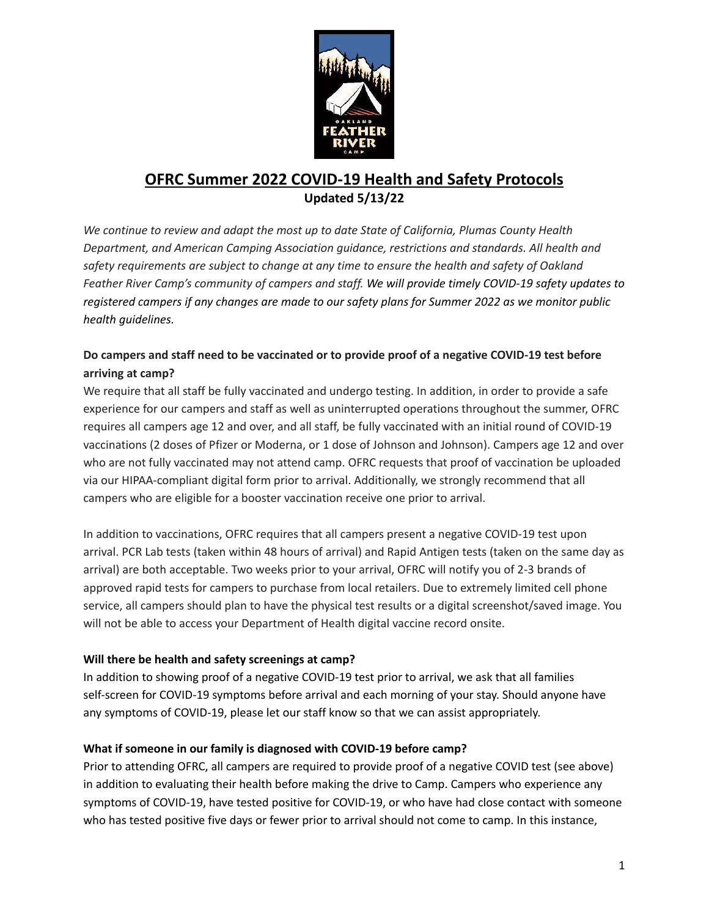

# **OFRC Summer 2022 COVID-19 Health and Safety Protocols Updated 5/13/22**

*We continue to review and adapt the most up to date State of California, Plumas County Health Department, and American Camping Association guidance, restrictions and standards. All health and safety requirements are subject to change at any time to ensure the health and safety of Oakland Feather River Camp's community of campers and staff. We will provide timely COVID-19 safety updates to* registered campers if any changes are made to our safety plans for Summer 2022 as we monitor public *health guidelines.*

# **Do campers and staff need to be vaccinated or to provide proof of a negative COVID-19 test before arriving at camp?**

We require that all staff be fully vaccinated and undergo testing. In addition, in order to provide a safe experience for our campers and staff as well as uninterrupted operations throughout the summer, OFRC requires all campers age 12 and over, and all staff, be fully vaccinated with an initial round of COVID-19 vaccinations (2 doses of Pfizer or Moderna, or 1 dose of Johnson and Johnson). Campers age 12 and over who are not fully vaccinated may not attend camp. OFRC requests that proof of vaccination be uploaded via our HIPAA-compliant digital form prior to arrival. Additionally, we strongly recommend that all campers who are eligible for a booster vaccination receive one prior to arrival.

In addition to vaccinations, OFRC requires that all campers present a negative COVID-19 test upon arrival. PCR Lab tests (taken within 48 hours of arrival) and Rapid Antigen tests (taken on the same day as arrival) are both acceptable. Two weeks prior to your arrival, OFRC will notify you of 2-3 brands of approved rapid tests for campers to purchase from local retailers. Due to extremely limited cell phone service, all campers should plan to have the physical test results or a digital screenshot/saved image. You will not be able to access your Department of Health digital vaccine record onsite.

## **Will there be health and safety screenings at camp?**

In addition to showing proof of a negative COVID-19 test prior to arrival, we ask that all families self-screen for COVID-19 symptoms before arrival and each morning of your stay. Should anyone have any symptoms of COVID-19, please let our staff know so that we can assist appropriately.

## **What if someone in our family is diagnosed with COVID-19 before camp?**

Prior to attending OFRC, all campers are required to provide proof of a negative COVID test (see above) in addition to evaluating their health before making the drive to Camp. Campers who experience any symptoms of COVID-19, have tested positive for COVID-19, or who have had close contact with someone who has tested positive five days or fewer prior to arrival should not come to camp. In this instance,